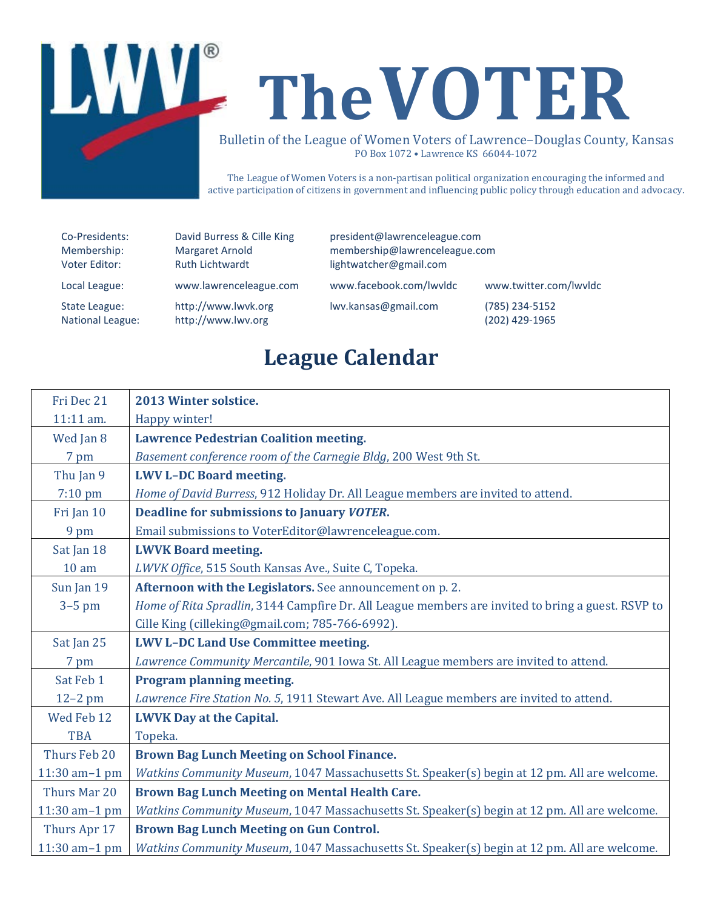

The League of Women Voters is a non-partisan political organization encouraging the informed and active participation of citizens in government and influencing public policy through education and advocacy.

| Co-Presidents:          | David Burress & Cille King | president@lawrenceleague.com  |                        |
|-------------------------|----------------------------|-------------------------------|------------------------|
| Membership:             | Margaret Arnold            | membership@lawrenceleague.com |                        |
| Voter Editor:           | <b>Ruth Lichtwardt</b>     | lightwatcher@gmail.com        |                        |
| Local League:           | www.lawrenceleague.com     | www.facebook.com/lwvldc       | www.twitter.com/lwvldc |
| State League:           | http://www.lwvk.org        | lwv.kansas@gmail.com          | (785) 234-5152         |
| <b>National League:</b> | http://www.lwv.org         |                               | (202) 429-1965         |

# **League Calendar**

| Fri Dec 21       | 2013 Winter solstice.                                                                             |
|------------------|---------------------------------------------------------------------------------------------------|
| 11:11 am.        | Happy winter!                                                                                     |
| Wed Jan 8        | <b>Lawrence Pedestrian Coalition meeting.</b>                                                     |
| 7 pm             | Basement conference room of the Carnegie Bldg, 200 West 9th St.                                   |
| Thu Jan 9        | <b>LWV L-DC Board meeting.</b>                                                                    |
| 7:10 pm          | Home of David Burress, 912 Holiday Dr. All League members are invited to attend.                  |
| Fri Jan 10       | <b>Deadline for submissions to January VOTER.</b>                                                 |
| 9 pm             | Email submissions to VoterEditor@lawrenceleague.com.                                              |
| Sat Jan 18       | <b>LWVK Board meeting.</b>                                                                        |
| 10 <sub>am</sub> | LWVK Office, 515 South Kansas Ave., Suite C, Topeka.                                              |
| Sun Jan 19       | Afternoon with the Legislators. See announcement on p. 2.                                         |
| $3-5$ pm         | Home of Rita Spradlin, 3144 Campfire Dr. All League members are invited to bring a guest. RSVP to |
|                  | Cille King (cilleking@gmail.com; 785-766-6992).                                                   |
| Sat Jan 25       | <b>LWV L-DC Land Use Committee meeting.</b>                                                       |
| 7 pm             | Lawrence Community Mercantile, 901 Iowa St. All League members are invited to attend.             |
| Sat Feb 1        | Program planning meeting.                                                                         |
| $12-2$ pm        | Lawrence Fire Station No. 5, 1911 Stewart Ave. All League members are invited to attend.          |
| Wed Feb 12       | <b>LWVK Day at the Capital.</b>                                                                   |
| <b>TBA</b>       | Topeka.                                                                                           |
| Thurs Feb 20     | <b>Brown Bag Lunch Meeting on School Finance.</b>                                                 |
| 11:30 am-1 pm    | Watkins Community Museum, 1047 Massachusetts St. Speaker(s) begin at 12 pm. All are welcome.      |
| Thurs Mar 20     | Brown Bag Lunch Meeting on Mental Health Care.                                                    |
| 11:30 am-1 pm    | Watkins Community Museum, 1047 Massachusetts St. Speaker(s) begin at 12 pm. All are welcome.      |
| Thurs Apr 17     | <b>Brown Bag Lunch Meeting on Gun Control.</b>                                                    |
| 11:30 am-1 pm    | Watkins Community Museum, 1047 Massachusetts St. Speaker(s) begin at 12 pm. All are welcome.      |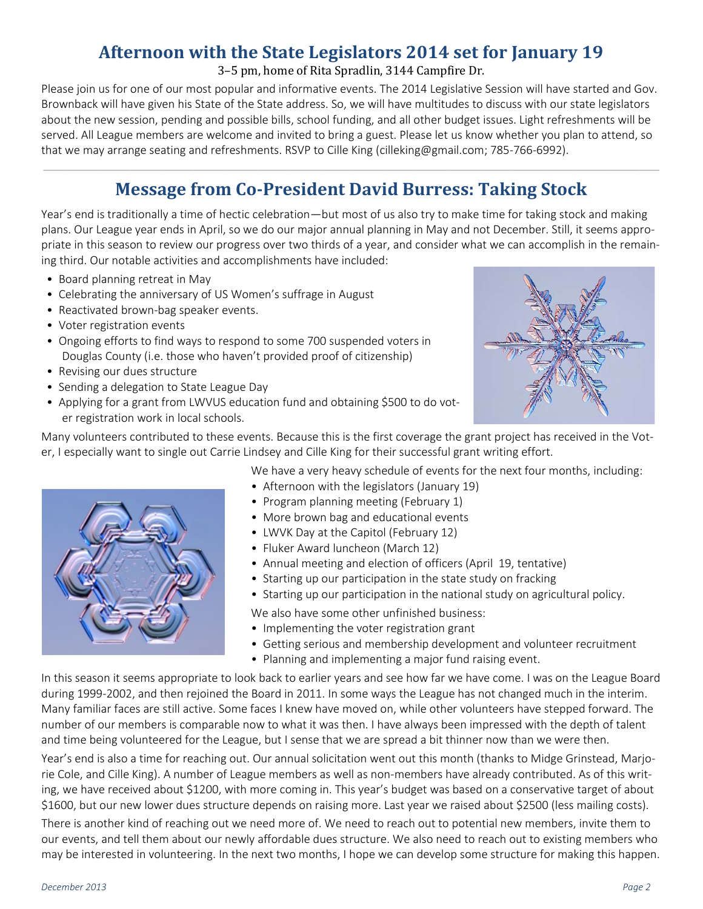### **Afternoon with the State Legislators 2014 set for January 19**

#### 3–5 pm, home of Rita Spradlin, 3144 Campfire Dr.

Please join us for one of our most popular and informative events. The 2014 Legislative Session will have started and Gov. Brownback will have given his State of the State address. So, we will have multitudes to discuss with our state legislators about the new session, pending and possible bills, school funding, and all other budget issues. Light refreshments will be served. All League members are welcome and invited to bring a guest. Please let us know whether you plan to attend, so that we may arrange seating and refreshments. RSVP to Cille King (cilleking[@gmail.com;](http://gmail.com/) [785-766-6992\)](tel:785-766-6992).

### \_\_\_\_\_\_\_\_\_\_\_\_\_\_\_\_\_\_\_\_\_\_\_\_\_\_\_\_\_\_\_\_\_\_\_\_\_\_\_\_\_\_\_\_\_\_\_\_\_\_\_\_\_\_\_\_\_\_\_\_\_\_\_\_\_\_\_\_\_\_\_\_\_\_\_\_\_\_\_\_\_\_\_\_\_\_\_\_\_\_\_\_\_\_\_\_\_\_\_\_\_\_\_\_\_\_\_\_\_\_\_\_\_\_\_\_\_\_\_\_\_\_\_\_\_\_\_\_\_\_\_\_\_\_\_\_\_\_\_\_\_\_\_\_\_\_\_\_\_\_\_\_\_\_\_\_\_\_\_\_\_\_\_\_\_\_\_\_\_\_\_\_\_\_\_\_\_\_\_\_\_\_\_\_\_\_\_\_\_\_\_\_\_\_\_\_\_\_\_\_\_\_\_\_\_\_\_\_\_\_\_\_\_ **Message from Co-President David Burress: Taking Stock**

Year's end is traditionally a time of hectic celebration—but most of us also try to make time for taking stock and making plans. Our League year ends in April, so we do our major annual planning in May and not December. Still, it seems appropriate in this season to review our progress over two thirds of a year, and consider what we can accomplish in the remaining third. Our notable activities and accomplishments have included:

- Board planning retreat in May
- Celebrating the anniversary of US Women's suffrage in August
- Reactivated brown-bag speaker events.
- Voter registration events
- Ongoing efforts to find ways to respond to some 700 suspended voters in Douglas County (i.e. those who haven't provided proof of citizenship)
- Revising our dues structure
- Sending a delegation to State League Day
- Applying for a grant from LWVUS education fund and obtaining \$500 to do voter registration work in local schools.



Many volunteers contributed to these events. Because this is the first coverage the grant project has received in the Voter, I especially want to single out Carrie Lindsey and Cille King for their successful grant writing effort.

We have a very heavy schedule of events for the next four months, including:

- Afternoon with the legislators (January 19)
- Program planning meeting (February 1)
- More brown bag and educational events
- LWVK Day at the Capitol (February 12)
- Fluker Award luncheon (March 12)
- Annual meeting and election of officers (April 19, tentative)
- Starting up our participation in the state study on fracking
- Starting up our participation in the national study on agricultural policy.

We also have some other unfinished business:

- Implementing the voter registration grant
- Getting serious and membership development and volunteer recruitment
- Planning and implementing a major fund raising event.

In this season it seems appropriate to look back to earlier years and see how far we have come. I was on the League Board during 1999-2002, and then rejoined the Board in 2011. In some ways the League has not changed much in the interim. Many familiar faces are still active. Some faces I knew have moved on, while other volunteers have stepped forward. The number of our members is comparable now to what it was then. I have always been impressed with the depth of talent and time being volunteered for the League, but I sense that we are spread a bit thinner now than we were then.

Year's end is also a time for reaching out. Our annual solicitation went out this month (thanks to Midge Grinstead, Marjorie Cole, and Cille King). A number of League members as well as non-members have already contributed. As of this writing, we have received about \$1200, with more coming in. This year's budget was based on a conservative target of about \$1600, but our new lower dues structure depends on raising more. Last year we raised about \$2500 (less mailing costs).

There is another kind of reaching out we need more of. We need to reach out to potential new members, invite them to our events, and tell them about our newly affordable dues structure. We also need to reach out to existing members who may be interested in volunteering. In the next two months, I hope we can develop some structure for making this happen.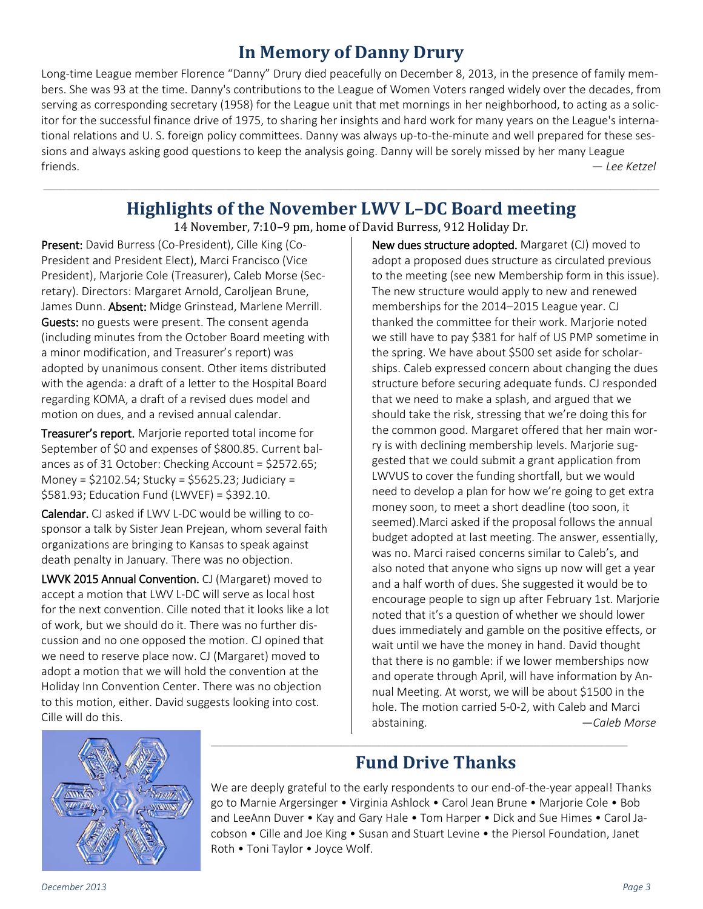### **In Memory of Danny Drury**

Long-time League member Florence "Danny" Drury died peacefully on December 8, 2013, in the presence of family members. She was 93 at the time. Danny's contributions to the League of Women Voters ranged widely over the decades, from serving as corresponding secretary (1958) for the League unit that met mornings in her neighborhood, to acting as a solicitor for the successful finance drive of 1975, to sharing her insights and hard work for many years on the League's international relations and U. S. foreign policy committees. Danny was always up-to-the-minute and well prepared for these sessions and always asking good questions to keep the analysis going. Danny will be sorely missed by her many League friends. *— Lee Ketzel*

#### \_\_\_\_\_\_\_\_\_\_\_\_\_\_\_\_\_\_\_\_\_\_\_\_\_\_\_\_\_\_\_\_\_\_\_\_\_\_\_\_\_\_\_\_\_\_\_\_\_\_\_\_\_\_\_\_\_\_\_\_\_\_\_\_\_\_\_\_\_\_\_\_\_\_\_\_\_\_\_\_\_\_\_\_\_\_\_\_\_\_\_\_\_\_\_\_\_\_\_\_\_\_\_\_\_\_\_\_\_\_\_\_\_\_\_\_\_\_\_\_\_\_\_\_\_\_\_\_\_\_\_\_\_\_\_\_\_\_\_\_\_\_\_\_\_\_\_\_\_\_\_\_\_\_\_\_\_\_\_\_\_\_\_\_\_\_\_\_\_\_\_\_\_\_\_\_\_\_\_\_\_\_\_\_\_\_\_\_\_\_\_\_\_\_\_\_\_\_\_\_\_\_\_\_\_\_\_\_\_\_\_\_\_ **Highlights of the November LWV L–DC Board meeting**

14 November, 7:10–9 pm, home of David Burress, 912 Holiday Dr.

Present: David Burress (Co-President), Cille King (Co-President and President Elect), Marci Francisco (Vice President), Marjorie Cole (Treasurer), Caleb Morse (Secretary). Directors: Margaret Arnold, Caroljean Brune, James Dunn. Absent: Midge Grinstead, Marlene Merrill. Guests: no guests were present. The consent agenda (including minutes from the October Board meeting with a minor modification, and Treasurer's report) was adopted by unanimous consent. Other items distributed with the agenda: a draft of a letter to the Hospital Board regarding KOMA, a draft of a revised dues model and motion on dues, and a revised annual calendar.

Treasurer's report. Marjorie reported total income for September of \$0 and expenses of \$800.85. Current balances as of 31 October: Checking Account = \$2572.65; Money = \$2102.54; Stucky = \$5625.23; Judiciary = \$581.93; Education Fund (LWVEF) = \$392.10.

Calendar. CJ asked if LWV L-DC would be willing to cosponsor a talk by Sister Jean Prejean, whom several faith organizations are bringing to Kansas to speak against death penalty in January. There was no objection.

LWVK 2015 Annual Convention. CJ (Margaret) moved to accept a motion that LWV L-DC will serve as local host for the next convention. Cille noted that it looks like a lot of work, but we should do it. There was no further discussion and no one opposed the motion. CJ opined that we need to reserve place now. CJ (Margaret) moved to adopt a motion that we will hold the convention at the Holiday Inn Convention Center. There was no objection to this motion, either. David suggests looking into cost. Cille will do this.

New dues structure adopted. Margaret (CJ) moved to adopt a proposed dues structure as circulated previous to the meeting (see new Membership form in this issue). The new structure would apply to new and renewed memberships for the 2014–2015 League year. CJ thanked the committee for their work. Marjorie noted we still have to pay \$381 for half of US PMP sometime in the spring. We have about \$500 set aside for scholarships. Caleb expressed concern about changing the dues structure before securing adequate funds. CJ responded that we need to make a splash, and argued that we should take the risk, stressing that we're doing this for the common good. Margaret offered that her main worry is with declining membership levels. Marjorie suggested that we could submit a grant application from LWVUS to cover the funding shortfall, but we would need to develop a plan for how we're going to get extra money soon, to meet a short deadline (too soon, it seemed).Marci asked if the proposal follows the annual budget adopted at last meeting. The answer, essentially, was no. Marci raised concerns similar to Caleb's, and also noted that anyone who signs up now will get a year and a half worth of dues. She suggested it would be to encourage people to sign up after February 1st. Marjorie noted that it's a question of whether we should lower dues immediately and gamble on the positive effects, or wait until we have the money in hand. David thought that there is no gamble: if we lower memberships now and operate through April, will have information by Annual Meeting. At worst, we will be about \$1500 in the hole. The motion carried 5-0-2, with Caleb and Marci abstaining. *—Caleb Morse*



# **Fund Drive Thanks**

\_\_\_\_\_\_\_\_\_\_\_\_\_\_\_\_\_\_\_\_\_\_\_\_\_\_\_\_\_\_\_\_\_\_\_\_\_\_\_\_\_\_\_\_\_\_\_\_\_\_\_\_\_\_\_\_\_\_\_\_\_\_\_\_\_\_\_\_\_\_\_\_\_\_\_\_\_\_\_\_\_\_\_\_\_\_\_\_\_\_\_\_\_\_\_\_\_\_\_\_\_\_\_\_\_\_\_\_\_\_\_\_\_\_\_\_\_\_\_\_\_\_\_\_\_\_\_\_\_\_\_\_\_\_\_\_\_\_\_\_\_\_\_\_

We are deeply grateful to the early respondents to our end-of-the-year appeal! Thanks go to Marnie Argersinger • Virginia Ashlock • Carol Jean Brune • Marjorie Cole • Bob and LeeAnn Duver • Kay and Gary Hale • Tom Harper • Dick and Sue Himes • Carol Jacobson • Cille and Joe King • Susan and Stuart Levine • the Piersol Foundation, Janet Roth • Toni Taylor • Joyce Wolf.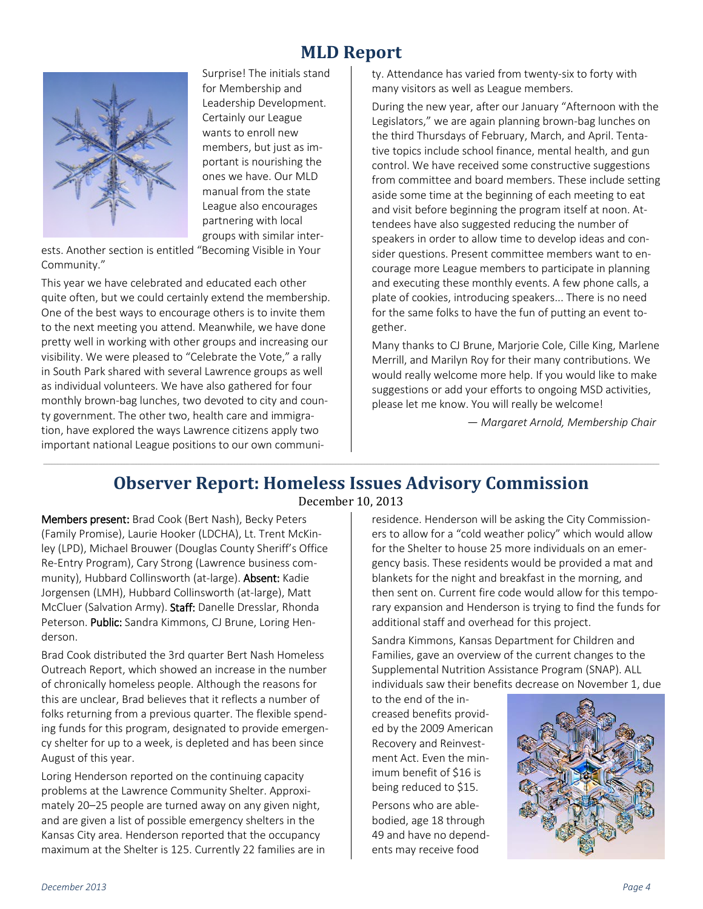### **MLD Report**



Surprise! The initials stand for Membership and Leadership Development. Certainly our League wants to enroll new members, but just as important is nourishing the ones we have. Our MLD manual from the state League also encourages partnering with local groups with similar inter-

ests. Another section is entitled "Becoming Visible in Your Community."

This year we have celebrated and educated each other quite often, but we could certainly extend the membership. One of the best ways to encourage others is to invite them to the next meeting you attend. Meanwhile, we have done pretty well in working with other groups and increasing our visibility. We were pleased to "Celebrate the Vote," a rally in South Park shared with several Lawrence groups as well as individual volunteers. We have also gathered for four monthly brown-bag lunches, two devoted to city and county government. The other two, health care and immigration, have explored the ways Lawrence citizens apply two important national League positions to our own community. Attendance has varied from twenty-six to forty with many visitors as well as League members.

During the new year, after our January "Afternoon with the Legislators," we are again planning brown-bag lunches on the third Thursdays of February, March, and April. Tentative topics include school finance, mental health, and gun control. We have received some constructive suggestions from committee and board members. These include setting aside some time at the beginning of each meeting to eat and visit before beginning the program itself at noon. Attendees have also suggested reducing the number of speakers in order to allow time to develop ideas and consider questions. Present committee members want to encourage more League members to participate in planning and executing these monthly events. A few phone calls, a plate of cookies, introducing speakers... There is no need for the same folks to have the fun of putting an event together.

Many thanks to CJ Brune, Marjorie Cole, Cille King, Marlene Merrill, and Marilyn Roy for their many contributions. We would really welcome more help. If you would like to make suggestions or add your efforts to ongoing MSD activities, please let me know. You will really be welcome!

*— Margaret Arnold, Membership Chair*

#### \_\_\_\_\_\_\_\_\_\_\_\_\_\_\_\_\_\_\_\_\_\_\_\_\_\_\_\_\_\_\_\_\_\_\_\_\_\_\_\_\_\_\_\_\_\_\_\_\_\_\_\_\_\_\_\_\_\_\_\_\_\_\_\_\_\_\_\_\_\_\_\_\_\_\_\_\_\_\_\_\_\_\_\_\_\_\_\_\_\_\_\_\_\_\_\_\_\_\_\_\_\_\_\_\_\_\_\_\_\_\_\_\_\_\_\_\_\_\_\_\_\_\_\_\_\_\_\_\_\_\_\_\_\_\_\_\_\_\_\_\_\_\_\_\_\_\_\_\_\_\_\_\_\_\_\_\_\_\_\_\_\_\_\_\_\_\_\_\_\_\_\_\_\_\_\_\_\_\_\_\_\_\_\_\_\_\_\_\_\_\_\_\_\_\_\_\_\_\_\_\_\_\_\_\_\_\_\_\_\_\_\_\_ **Observer Report: Homeless Issues Advisory Commission**

#### December 10, 2013

Members present: Brad Cook (Bert Nash), Becky Peters (Family Promise), Laurie Hooker (LDCHA), Lt. Trent McKinley (LPD), Michael Brouwer (Douglas County Sheriff's Office Re-Entry Program), Cary Strong (Lawrence business community), Hubbard Collinsworth (at-large). Absent: Kadie Jorgensen (LMH), Hubbard Collinsworth (at-large), Matt McCluer (Salvation Army). Staff: Danelle Dresslar, Rhonda Peterson. Public: Sandra Kimmons, CJ Brune, Loring Henderson.

Brad Cook distributed the 3rd quarter Bert Nash Homeless Outreach Report, which showed an increase in the number of chronically homeless people. Although the reasons for this are unclear, Brad believes that it reflects a number of folks returning from a previous quarter. The flexible spending funds for this program, designated to provide emergency shelter for up to a week, is depleted and has been since August of this year.

Loring Henderson reported on the continuing capacity problems at the Lawrence Community Shelter. Approximately 20–25 people are turned away on any given night, and are given a list of possible emergency shelters in the Kansas City area. Henderson reported that the occupancy maximum at the Shelter is 125. Currently 22 families are in residence. Henderson will be asking the City Commissioners to allow for a "cold weather policy" which would allow for the Shelter to house 25 more individuals on an emergency basis. These residents would be provided a mat and blankets for the night and breakfast in the morning, and then sent on. Current fire code would allow for this temporary expansion and Henderson is trying to find the funds for additional staff and overhead for this project.

Sandra Kimmons, Kansas Department for Children and Families, gave an overview of the current changes to the Supplemental Nutrition Assistance Program (SNAP). ALL individuals saw their benefits decrease on November 1, due

to the end of the increased benefits provided by the 2009 American Recovery and Reinvestment Act. Even the minimum benefit of \$16 is being reduced to \$15.

Persons who are ablebodied, age 18 through 49 and have no dependents may receive food

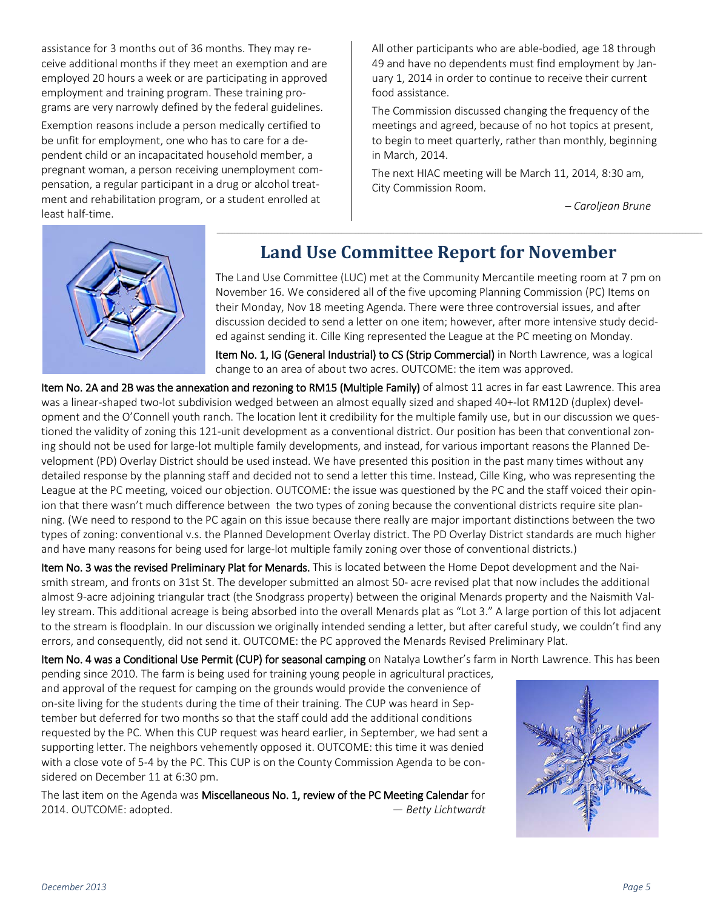assistance for 3 months out of 36 months. They may receive additional months if they meet an exemption and are employed 20 hours a week or are participating in approved employment and training program. These training programs are very narrowly defined by the federal guidelines.

Exemption reasons include a person medically certified to be unfit for employment, one who has to care for a dependent child or an incapacitated household member, a pregnant woman, a person receiving unemployment compensation, a regular participant in a drug or alcohol treatment and rehabilitation program, or a student enrolled at least half-time.

All other participants who are able-bodied, age 18 through 49 and have no dependents must find employment by January 1, 2014 in order to continue to receive their current food assistance.

The Commission discussed changing the frequency of the meetings and agreed, because of no hot topics at present, to begin to meet quarterly, rather than monthly, beginning in March, 2014.

The next HIAC meeting will be March 11, 2014, 8:30 am, City Commission Room.

*– Caroljean Brune*



### **Land Use Committee Report for November**

\_\_\_\_\_\_\_\_\_\_\_\_\_\_\_\_\_\_\_\_\_\_\_\_\_\_\_\_\_\_\_\_\_\_\_\_\_\_\_\_\_\_\_\_\_\_\_\_\_\_\_\_\_\_\_\_\_\_\_\_\_\_\_\_\_\_\_\_\_\_\_\_\_\_\_\_\_\_\_\_\_\_\_\_\_\_\_\_\_\_\_\_\_\_\_\_\_\_\_\_\_\_\_\_\_\_\_\_\_\_\_\_\_\_\_\_\_\_\_\_\_\_\_\_\_\_\_\_\_\_\_\_\_\_\_\_\_\_\_\_\_\_\_\_\_\_\_\_\_\_\_\_\_\_\_\_\_\_\_\_\_\_\_\_\_\_\_\_

The Land Use Committee (LUC) met at the Community Mercantile meeting room at 7 pm on November 16. We considered all of the five upcoming Planning Commission (PC) Items on their Monday, Nov 18 meeting Agenda. There were three controversial issues, and after discussion decided to send a letter on one item; however, after more intensive study decided against sending it. Cille King represented the League at the PC meeting on Monday.

Item No. 1, IG (General Industrial) to CS (Strip Commercial) in North Lawrence, was a logical change to an area of about two acres. OUTCOME: the item was approved.

Item No. 2A and 2B was the annexation and rezoning to RM15 (Multiple Family) of almost 11 acres in far east Lawrence. This area was a linear-shaped two-lot subdivision wedged between an almost equally sized and shaped 40+-lot RM12D (duplex) development and the O'Connell youth ranch. The location lent it credibility for the multiple family use, but in our discussion we questioned the validity of zoning this 121-unit development as a conventional district. Our position has been that conventional zoning should not be used for large-lot multiple family developments, and instead, for various important reasons the Planned Development (PD) Overlay District should be used instead. We have presented this position in the past many times without any detailed response by the planning staff and decided not to send a letter this time. Instead, Cille King, who was representing the League at the PC meeting, voiced our objection. OUTCOME: the issue was questioned by the PC and the staff voiced their opinion that there wasn't much difference between the two types of zoning because the conventional districts require site planning. (We need to respond to the PC again on this issue because there really are major important distinctions between the two types of zoning: conventional v.s. the Planned Development Overlay district. The PD Overlay District standards are much higher and have many reasons for being used for large-lot multiple family zoning over those of conventional districts.)

Item No. 3 was the revised Preliminary Plat for Menards. This is located between the Home Depot development and the Naismith stream, and fronts on 31st St. The developer submitted an almost 50- acre revised plat that now includes the additional almost 9-acre adjoining triangular tract (the Snodgrass property) between the original Menards property and the Naismith Valley stream. This additional acreage is being absorbed into the overall Menards plat as "Lot 3." A large portion of this lot adjacent to the stream is floodplain. In our discussion we originally intended sending a letter, but after careful study, we couldn't find any errors, and consequently, did not send it. OUTCOME: the PC approved the Menards Revised Preliminary Plat.

Item No. 4 was a Conditional Use Permit (CUP) for seasonal camping on Natalya Lowther's farm in North Lawrence. This has been

pending since 2010. The farm is being used for training young people in agricultural practices, and approval of the request for camping on the grounds would provide the convenience of on-site living for the students during the time of their training. The CUP was heard in September but deferred for two months so that the staff could add the additional conditions requested by the PC. When this CUP request was heard earlier, in September, we had sent a supporting letter. The neighbors vehemently opposed it. OUTCOME: this time it was denied with a close vote of 5-4 by the PC. This CUP is on the County Commission Agenda to be considered on December 11 at 6:30 pm.

The last item on the Agenda was Miscellaneous No. 1, review of the PC Meeting Calendar for 2014. OUTCOME: adopted. *— Betty Lichtwardt*

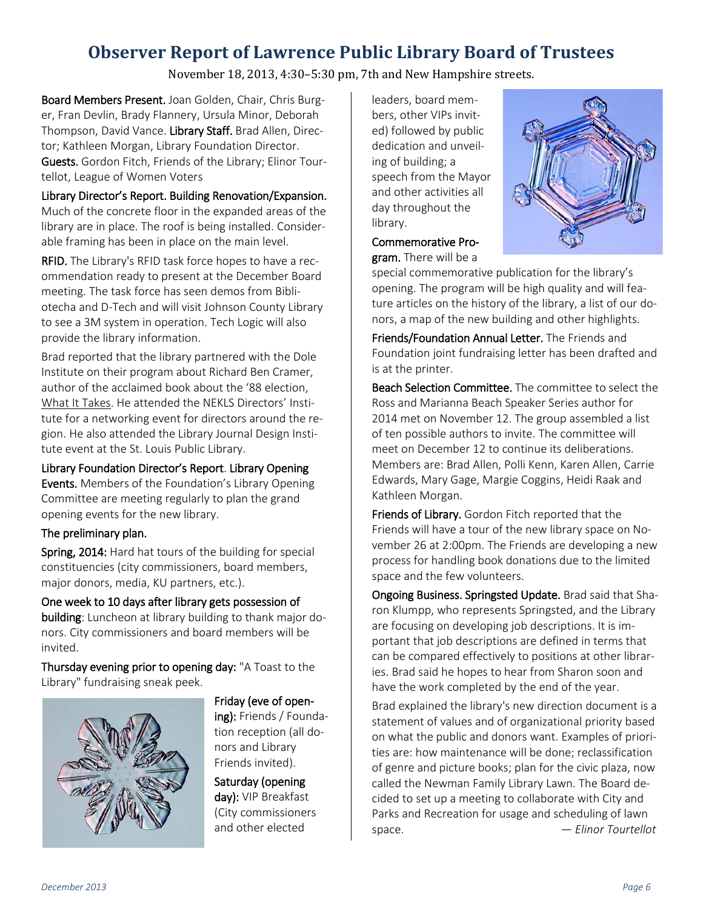## **Observer Report of Lawrence Public Library Board of Trustees**

November 18, 2013, 4:30–5:30 pm, 7th and New Hampshire streets.

Board Members Present. Joan Golden, Chair, Chris Burger, Fran Devlin, Brady Flannery, Ursula Minor, Deborah Thompson, David Vance. Library Staff. Brad Allen, Director; Kathleen Morgan, Library Foundation Director. Guests. Gordon Fitch, Friends of the Library; Elinor Tourtellot, League of Women Voters

#### Library Director's Report. Building Renovation/Expansion.

Much of the concrete floor in the expanded areas of the library are in place. The roof is being installed. Considerable framing has been in place on the main level.

RFID. The Library's RFID task force hopes to have a recommendation ready to present at the December Board meeting. The task force has seen demos from Bibliotecha and D-Tech and will visit Johnson County Library to see a 3M system in operation. Tech Logic will also provide the library information.

Brad reported that the library partnered with the Dole Institute on their program about Richard Ben Cramer, author of the acclaimed book about the '88 election, What It Takes. He attended the NEKLS Directors' Institute for a networking event for directors around the region. He also attended the Library Journal Design Institute event at the St. Louis Public Library.

#### Library Foundation Director's Report. Library Opening

Events. Members of the Foundation's Library Opening Committee are meeting regularly to plan the grand opening events for the new library.

#### The preliminary plan.

Spring, 2014: Hard hat tours of the building for special constituencies (city commissioners, board members, major donors, media, KU partners, etc.).

One week to 10 days after library gets possession of building: Luncheon at library building to thank major donors. City commissioners and board members will be invited.

Thursday evening prior to opening day: "A Toast to the Library" fundraising sneak peek.



Friday (eve of opening): Friends / Foundation reception (all donors and Library Friends invited).

Saturday (opening day): VIP Breakfast (City commissioners and other elected

leaders, board members, other VIPs invited) followed by public dedication and unveiling of building; a speech from the Mayor and other activities all day throughout the library.



Commemorative Program. There will be a

special commemorative publication for the library's opening. The program will be high quality and will feature articles on the history of the library, a list of our donors, a map of the new building and other highlights.

Friends/Foundation Annual Letter. The Friends and Foundation joint fundraising letter has been drafted and is at the printer.

Beach Selection Committee. The committee to select the Ross and Marianna Beach Speaker Series author for 2014 met on November 12. The group assembled a list of ten possible authors to invite. The committee will meet on December 12 to continue its deliberations. Members are: Brad Allen, Polli Kenn, Karen Allen, Carrie Edwards, Mary Gage, Margie Coggins, Heidi Raak and Kathleen Morgan.

Friends of Library. Gordon Fitch reported that the Friends will have a tour of the new library space on November 26 at 2:00pm. The Friends are developing a new process for handling book donations due to the limited space and the few volunteers.

Ongoing Business. Springsted Update. Brad said that Sharon Klumpp, who represents Springsted, and the Library are focusing on developing job descriptions. It is important that job descriptions are defined in terms that can be compared effectively to positions at other libraries. Brad said he hopes to hear from Sharon soon and have the work completed by the end of the year.

Brad explained the library's new direction document is a statement of values and of organizational priority based on what the public and donors want. Examples of priorities are: how maintenance will be done; reclassification of genre and picture books; plan for the civic plaza, now called the Newman Family Library Lawn. The Board decided to set up a meeting to collaborate with City and Parks and Recreation for usage and scheduling of lawn space. *— Elinor Tourtellot*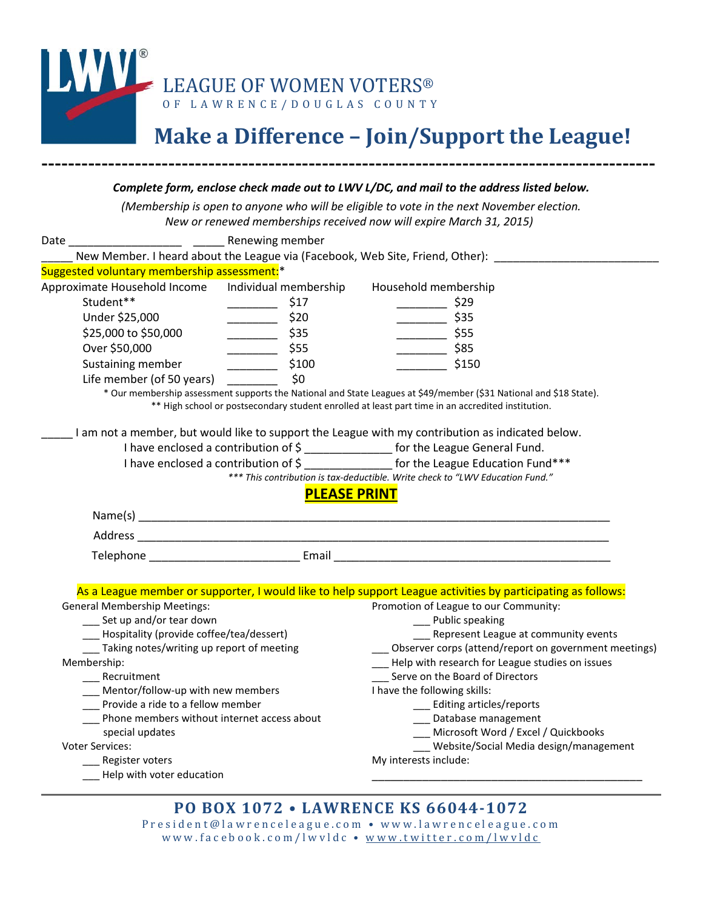

# **Make a Difference – Join/Support the League!**

#### *Complete form, enclose check made out to LWV L/DC, and mail to the address listed below.*

--------------------------------------------------------------------------------------------

*(Membership is open to anyone who will be eligible to vote in the next November election. New or renewed memberships received now will expire March 31, 2015)*

| Date ______________________________ Renewing member                                |                     |                                                                                                                                                                                                                         |  |
|------------------------------------------------------------------------------------|---------------------|-------------------------------------------------------------------------------------------------------------------------------------------------------------------------------------------------------------------------|--|
|                                                                                    |                     | New Member. I heard about the League via (Facebook, Web Site, Friend, Other): _____________________                                                                                                                     |  |
| Suggested voluntary membership assessment:*                                        |                     |                                                                                                                                                                                                                         |  |
| Approximate Household Income Individual membership                                 |                     | Household membership                                                                                                                                                                                                    |  |
| Student**                                                                          | \$17                | $\frac{1}{2}$ \$29                                                                                                                                                                                                      |  |
| Under \$25,000                                                                     | $\frac{1}{20}$ \$20 | $\frac{1}{2}$ \$35                                                                                                                                                                                                      |  |
| \$25,000 to \$50,000                                                               | \$35                | $\frac{1}{2}$ \$55                                                                                                                                                                                                      |  |
| Over \$50,000                                                                      | \$55<br>___________ | $\frac{1}{2}$ \$85                                                                                                                                                                                                      |  |
| Sustaining member                                                                  | \$100               | \$150                                                                                                                                                                                                                   |  |
| Life member (of 50 years)                                                          | \$0                 |                                                                                                                                                                                                                         |  |
|                                                                                    |                     | * Our membership assessment supports the National and State Leagues at \$49/member (\$31 National and \$18 State).<br>** High school or postsecondary student enrolled at least part time in an accredited institution. |  |
|                                                                                    |                     | I am not a member, but would like to support the League with my contribution as indicated below.                                                                                                                        |  |
| I have enclosed a contribution of \$ ________________ for the League General Fund. |                     |                                                                                                                                                                                                                         |  |
|                                                                                    |                     | I have enclosed a contribution of \$ for the League Education Fund***                                                                                                                                                   |  |
|                                                                                    |                     | *** This contribution is tax-deductible. Write check to "LWV Education Fund."                                                                                                                                           |  |
|                                                                                    | <b>PLEASE PRINT</b> |                                                                                                                                                                                                                         |  |
|                                                                                    |                     |                                                                                                                                                                                                                         |  |
|                                                                                    |                     |                                                                                                                                                                                                                         |  |
|                                                                                    |                     | Telephone <b>Email</b> Email <b>Email Email Email Email Email Email Email Email Email Email Email Email Email Email Email Email Email Email Email Email Email Email Email Email Email</b>                               |  |
|                                                                                    |                     |                                                                                                                                                                                                                         |  |
|                                                                                    |                     | As a League member or supporter, I would like to help support League activities by participating as follows:                                                                                                            |  |
| <b>General Membership Meetings:</b>                                                |                     | Promotion of League to our Community:                                                                                                                                                                                   |  |
| __ Set up and/or tear down                                                         |                     | __ Public speaking                                                                                                                                                                                                      |  |
| ___ Hospitality (provide coffee/tea/dessert)                                       |                     | __ Represent League at community events<br>__ Observer corps (attend/report on government meetings)                                                                                                                     |  |
| Taking notes/writing up report of meeting                                          |                     | ___ Help with research for League studies on issues                                                                                                                                                                     |  |
| Membership:<br>Recruitment                                                         |                     | Serve on the Board of Directors                                                                                                                                                                                         |  |
| _ Mentor/follow-up with new members                                                |                     | I have the following skills:                                                                                                                                                                                            |  |
| Provide a ride to a fellow member                                                  |                     | ___ Editing articles/reports                                                                                                                                                                                            |  |
| Phone members without internet access about                                        |                     | ___ Database management                                                                                                                                                                                                 |  |
| special updates                                                                    |                     | ___ Microsoft Word / Excel / Quickbooks                                                                                                                                                                                 |  |
| <b>Voter Services:</b>                                                             |                     | Website/Social Media design/management                                                                                                                                                                                  |  |
| _ Register voters                                                                  |                     | My interests include:                                                                                                                                                                                                   |  |
| - Help with voter education                                                        |                     |                                                                                                                                                                                                                         |  |
|                                                                                    |                     |                                                                                                                                                                                                                         |  |
|                                                                                    |                     | DO DOV 1079 . I AMIDENCE IZC 66044 1079                                                                                                                                                                                 |  |

### **PO BOX 1072 • LAWRENCE KS 66044-1072**

President@lawrenceleague.com • www.lawrenceleague.com www.facebook.com/lwvldc • [www.twitter.com/lwvldc](http://www.twitter.com/lwvldc)